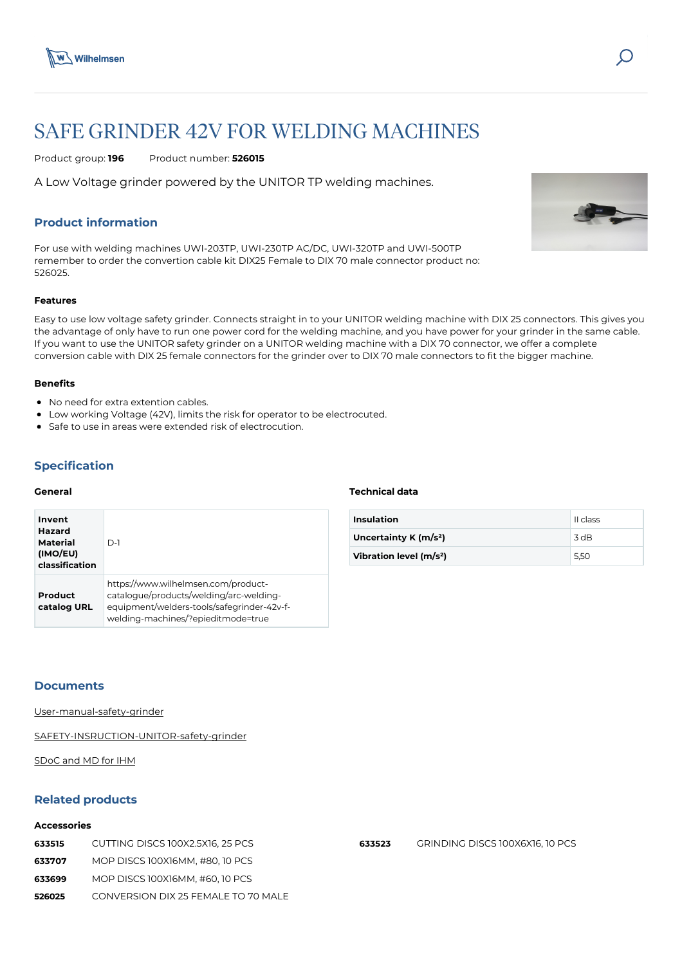

# SAFE GRINDER 42V FOR WELDING MACHINES

Product group: **196** Product number: **526015**

A Low Voltage grinder powered by the UNITOR TP welding machines.

# **Product information**

For use with welding machines UWI-203TP, UWI-230TP AC/DC, UWI-320TP and UWI-500TP remember to order the convertion cable kit DIX25 Female to DIX 70 male connector product no: 526025.

#### **Features**

Easy to use low voltage safety grinder. Connects straight in to your UNITOR welding machine with DIX 25 connectors. This gives you the advantage of only have to run one power cord for the welding machine, and you have power for your grinder in the same cable. If you want to use the UNITOR safety grinder on a UNITOR welding machine with a DIX 70 connector, we offer a complete conversion cable with DIX 25 female connectors for the grinder over to DIX 70 male connectors to fit the bigger machine.

# **Benefits**

- No need for extra extention cables.
- Low working Voltage (42V), limits the risk for operator to be electrocuted.
- Safe to use in areas were extended risk of electrocution.

# **Specification**

#### **General**

| Invent<br>Hazard<br>Material<br>(IMO/EU)<br>classification | $D-1$                                                                                                                                                              |
|------------------------------------------------------------|--------------------------------------------------------------------------------------------------------------------------------------------------------------------|
| Product<br>catalog URL                                     | https://www.wilhelmsen.com/product-<br>catalogue/products/welding/arc-welding-<br>equipment/welders-tools/safegrinder-42v-f-<br>welding-machines/?epieditmode=true |

#### **Technical data**

| <b>Insulation</b>                   | II class |
|-------------------------------------|----------|
| Uncertainty K $(m/s2)$              | 3 dB     |
| Vibration level (m/s <sup>2</sup> ) | 5.50     |

#### **Documents**

[User-manual-safety-grinder](https://media.bluestonepim.com/e4deb258-8122-4fdf-9d12-b42f3e0e812d/dfbcbd20-9723-4b54-88f5-1e2429b70dd6/UkNUYZaY5L4Ra0Z5C1btW3fsH/ugSKdmOSYxDHoa2Aw05lcfJ9v.pdf)

[SAFETY-INSRUCTION-UNITOR-safety-grinder](https://media.bluestonepim.com/e4deb258-8122-4fdf-9d12-b42f3e0e812d/db534fd1-ad7a-46f0-985f-47b0755bd684/GUSKDnmIeqDeiscnH3GQy6Cxn/9PAIdaXFNHe0iwHMJiHnJ1s0W.pdf)

[SDoC and MD for IHM](https://media.bluestonepim.com/e4deb258-8122-4fdf-9d12-b42f3e0e812d/5d7b0f89-7864-4f0f-85c6-8659655a15f2/qul7tvO9snVVTjeoOEBstKt9s/SiXofaAnpMC8d1wLQRsdKq1f4.pdf)

# **Related products**

#### **Accessories**

| 633515 | CUTTING DISCS 100X2.5X16, 25 PCS    |
|--------|-------------------------------------|
| 633707 | MOP DISCS 100X16MM, #80, 10 PCS     |
| 633699 | MOP DISCS 100X16MM, #60, 10 PCS     |
| 526025 | CONVERSION DIX 25 FEMALE TO 70 MALE |



**633523** [GRINDING DISCS 100X6X16, 10 PCS](https://www.wilhelmsen.com/product-catalogue/products/air-tools/air-tools-accessories-consumables--spares/grinders---accessories-consumables--spares/grinding-discs--4---10-pcs/?epieditmode=true)